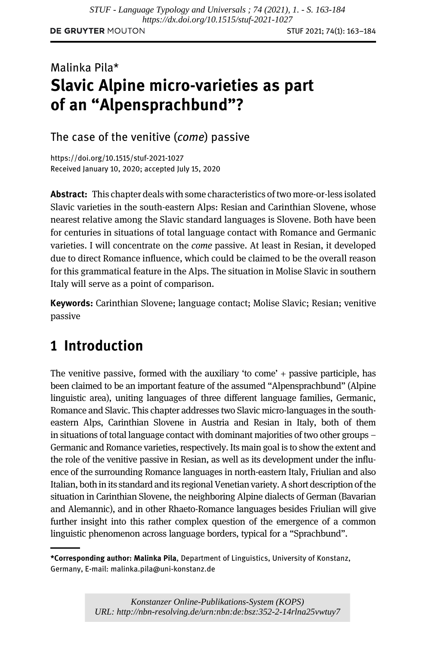# Malinka Pila\* Slavic Alpine micro-varieties as part of an "Alpensprachbund"?

The case of the venitive (come) passive

<https://doi.org/10.1515/stuf-2021-1027> Received January 10, 2020; accepted July 15, 2020

Abstract: This chapter deals with some characteristics of two more-or-less isolated Slavic varieties in the south-eastern Alps: Resian and Carinthian Slovene, whose nearest relative among the Slavic standard languages is Slovene. Both have been for centuries in situations of total language contact with Romance and Germanic varieties. I will concentrate on the come passive. At least in Resian, it developed due to direct Romance influence, which could be claimed to be the overall reason for this grammatical feature in the Alps. The situation in Molise Slavic in southern Italy will serve as a point of comparison.

Keywords: Carinthian Slovene; language contact; Molise Slavic; Resian; venitive passive

# 1 Introduction

The venitive passive, formed with the auxiliary 'to come' + passive participle, has been claimed to be an important feature of the assumed "Alpensprachbund" (Alpine linguistic area), uniting languages of three different language families, Germanic, Romance and Slavic. This chapter addresses two Slavic micro-languages in the southeastern Alps, Carinthian Slovene in Austria and Resian in Italy, both of them in situations of total language contact with dominant majorities of two other groups – Germanic and Romance varieties, respectively. Its main goal is to show the extent and the role of the venitive passive in Resian, as well as its development under the influence of the surrounding Romance languages in north-eastern Italy, Friulian and also Italian, both in its standard and its regional Venetian variety. A short description of the situation in Carinthian Slovene, the neighboring Alpine dialects of German (Bavarian and Alemannic), and in other Rhaeto-Romance languages besides Friulian will give further insight into this rather complex question of the emergence of a common linguistic phenomenon across language borders, typical for a "Sprachbund".

<sup>\*</sup>Corresponding author: Malinka Pila, Department of Linguistics, University of Konstanz, Germany, E-mail: [malinka.pila@uni-konstanz.de](mailto:malinka.pila@uni-konstanz.de)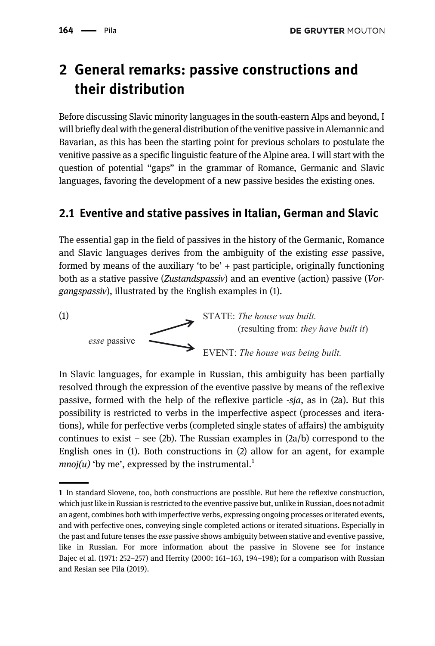# 2 General remarks: passive constructions and their distribution

Before discussing Slavic minority languages in the south-eastern Alps and beyond, I will briefly deal with the general distribution of the venitive passive in Alemannic and Bavarian, as this has been the starting point for previous scholars to postulate the venitive passive as a specific linguistic feature of the Alpine area. I will start with the question of potential "gaps" in the grammar of Romance, Germanic and Slavic languages, favoring the development of a new passive besides the existing ones.

### 2.1 Eventive and stative passives in Italian, German and Slavic

The essential gap in the field of passives in the history of the Germanic, Romance and Slavic languages derives from the ambiguity of the existing esse passive, formed by means of the auxiliary 'to be'  $+$  past participle, originally functioning both as a stative passive (Zustandspassiv) and an eventive (action) passive (Vorgangspassiv), illustrated by the English examples in (1).



In Slavic languages, for example in Russian, this ambiguity has been partially resolved through the expression of the eventive passive by means of the reflexive passive, formed with the help of the reflexive particle -sja, as in (2a). But this possibility is restricted to verbs in the imperfective aspect (processes and iterations), while for perfective verbs (completed single states of affairs) the ambiguity continues to exist – see (2b). The Russian examples in  $(2a/b)$  correspond to the English ones in (1). Both constructions in (2) allow for an agent, for example *mnoj*(*u*) 'by me', expressed by the instrumental.<sup>1</sup>

<sup>1</sup> In standard Slovene, too, both constructions are possible. But here the reflexive construction, which just like in Russian is restricted to the eventive passive but, unlike in Russian, does not admit an agent, combines both with imperfective verbs, expressing ongoing processes or iterated events, and with perfective ones, conveying single completed actions or iterated situations. Especially in the past and future tenses the esse passive shows ambiguity between stative and eventive passive, like in Russian. For more information about the passive in Slovene see for instance [Bajec et al. \(1971](#page-19-0): 252–257) and [Herrity \(2000:](#page-20-0) 161–163, 194–198); for a comparison with Russian and Resian see [Pila \(2019\)](#page-21-0).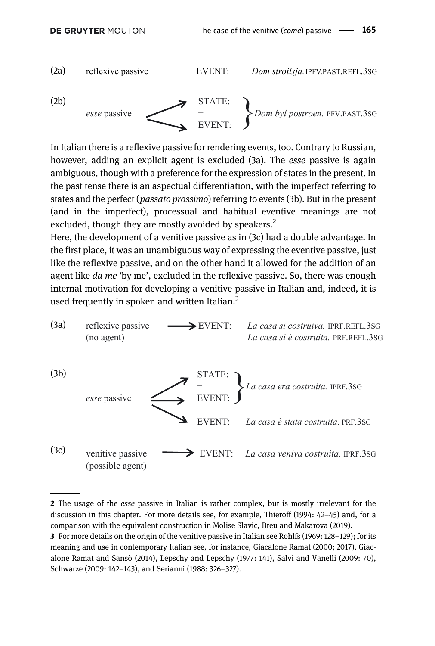

In Italian there is a reflexive passive for rendering events, too. Contrary to Russian, however, adding an explicit agent is excluded (3a). The *esse* passive is again ambiguous, though with a preference for the expression of states in the present. In the past tense there is an aspectual differentiation, with the imperfect referring to states and the perfect (*passato prossimo*) referring to events (3b). But in the present (and in the imperfect), processual and habitual eventive meanings are not excluded, though they are mostly avoided by speakers.<sup>2</sup>

Here, the development of a venitive passive as in (3c) had a double advantage. In the first place, it was an unambiguous way of expressing the eventive passive, just like the reflexive passive, and on the other hand it allowed for the addition of an agent like *da me* 'by me', excluded in the reflexive passive. So, there was enough internal motivation for developing a venitive passive in Italian and, indeed, it is used frequently in spoken and written Italian.<sup>3</sup>



<sup>2</sup> The usage of the *esse* passive in Italian is rather complex, but is mostly irrelevant for the discussion in this chapter. For more details see, for example, [Thieroff \(1994:](#page-21-1) 42–45) and, for a comparison with the equivalent construction in Molise Slavic, [Breu and Makarova \(2019\).](#page-20-1)

<sup>3</sup> For more details on the origin of the venitive passive in Italian see [Rohlfs \(1969](#page-21-2): 128–129); for its meaning and use in contemporary Italian see, for instance, [Giacalone Ramat \(2000;](#page-20-2) [2017\),](#page-20-3) [Giac](#page-20-4)[alone Ramat and Sansò \(2014\),](#page-20-4) [Lepschy and Lepschy \(1977:](#page-20-5) 141), [Salvi and Vanelli \(2009:](#page-21-3) 70), [Schwarze \(2009:](#page-21-4) 142–143), and [Serianni \(1988](#page-21-5): 326–327).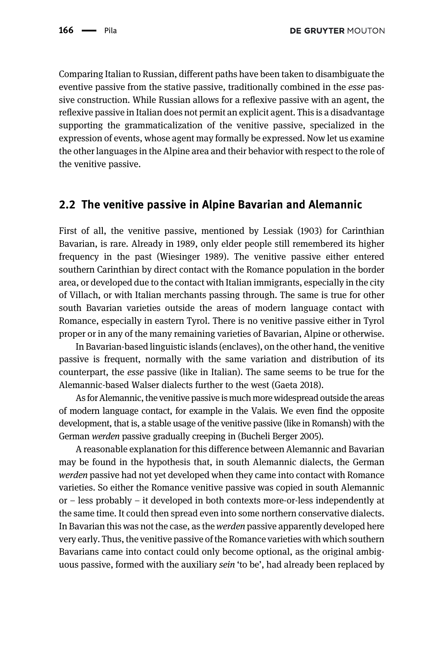Comparing Italian to Russian, different paths have been taken to disambiguate the eventive passive from the stative passive, traditionally combined in the esse passive construction. While Russian allows for a reflexive passive with an agent, the reflexive passive in Italian does not permit an explicit agent. This is a disadvantage supporting the grammaticalization of the venitive passive, specialized in the expression of events, whose agent may formally be expressed. Now let us examine the other languages in the Alpine area and their behavior with respect to the role of the venitive passive.

#### 2.2 The venitive passive in Alpine Bavarian and Alemannic

First of all, the venitive passive, mentioned by [Lessiak \(1903\)](#page-20-6) for Carinthian Bavarian, is rare. Already in 1989, only elder people still remembered its higher frequency in the past [\(Wiesinger 1989\)](#page-21-6). The venitive passive either entered southern Carinthian by direct contact with the Romance population in the border area, or developed due to the contact with Italian immigrants, especially in the city of Villach, or with Italian merchants passing through. The same is true for other south Bavarian varieties outside the areas of modern language contact with Romance, especially in eastern Tyrol. There is no venitive passive either in Tyrol proper or in any of the many remaining varieties of Bavarian, Alpine or otherwise.

In Bavarian-based linguistic islands (enclaves), on the other hand, the venitive passive is frequent, normally with the same variation and distribution of its counterpart, the esse passive (like in Italian). The same seems to be true for the Alemannic-based Walser dialects further to the west [\(Gaeta 2018\)](#page-20-7).

As for Alemannic, the venitive passive is much more widespread outside the areas of modern language contact, for example in the Valais. We even find the opposite development, that is, a stable usage of the venitive passive (like in Romansh) with the German werden passive gradually creeping in [\(Bucheli Berger 2005\)](#page-20-8).

A reasonable explanation for this difference between Alemannic and Bavarian may be found in the hypothesis that, in south Alemannic dialects, the German werden passive had not yet developed when they came into contact with Romance varieties. So either the Romance venitive passive was copied in south Alemannic or – less probably – it developed in both contexts more-or-less independently at the same time. It could then spread even into some northern conservative dialects. In Bavarian this was not the case, as the *werden* passive apparently developed here very early. Thus, the venitive passive of the Romance varieties with which southern Bavarians came into contact could only become optional, as the original ambiguous passive, formed with the auxiliary sein 'to be', had already been replaced by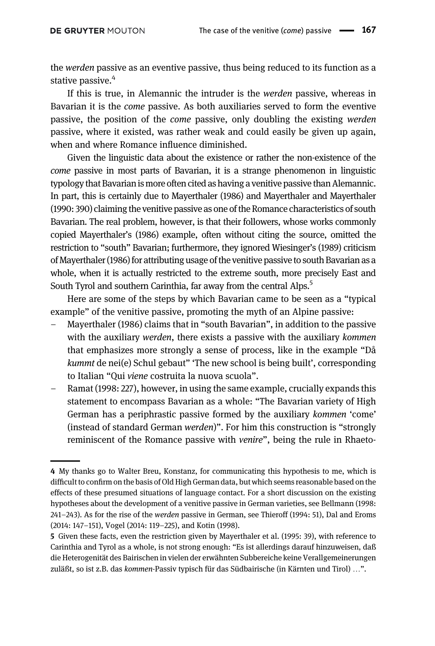the *werden* passive as an eventive passive, thus being reduced to its function as a stative passive.<sup>4</sup>

If this is true, in Alemannic the intruder is the werden passive, whereas in Bavarian it is the come passive. As both auxiliaries served to form the eventive passive, the position of the come passive, only doubling the existing werden passive, where it existed, was rather weak and could easily be given up again, when and where Romance influence diminished.

Given the linguistic data about the existence or rather the non-existence of the come passive in most parts of Bavarian, it is a strange phenomenon in linguistic typology that Bavarian is more often cited ashaving a venitive passive than Alemannic. In part, this is certainly due to [Mayerthaler \(1986\)](#page-21-7) and [Mayerthaler and Mayerthaler](#page-20-9) [\(1990:](#page-20-9) 390) claiming the venitive passive as one of the Romance characteristics of south Bavarian. The real problem, however, is that their followers, whose works commonly copied [Mayerthaler](#page-21-7)'s (1986) example, often without citing the source, omitted the restriction to "south" Bavarian; furthermore, they ignored [Wiesinger](#page-21-6)'s (1989) criticism of [Mayerthaler \(1986\)](#page-21-7) for attributing usage of the venitive passive to south Bavarian as a whole, when it is actually restricted to the extreme south, more precisely East and South Tyrol and southern Carinthia, far away from the central Alps.<sup>5</sup>

Here are some of the steps by which Bavarian came to be seen as a "typical example" of the venitive passive, promoting the myth of an Alpine passive:

- [Mayerthaler \(1986\)](#page-21-7) claims that in "south Bavarian", in addition to the passive with the auxiliary werden, there exists a passive with the auxiliary kommen that emphasizes more strongly a sense of process, like in the example "Då kummt de nei(e) Schul gebaut" 'The new school is being built', corresponding to Italian "Qui viene costruita la nuova scuola".
- [Ramat \(1998:](#page-21-8) 227), however, in using the same example, crucially expands this statement to encompass Bavarian as a whole: "The Bavarian variety of High German has a periphrastic passive formed by the auxiliary kommen 'come' (instead of standard German werden)". For him this construction is "strongly reminiscent of the Romance passive with venire", being the rule in Rhaeto-

<sup>4</sup> My thanks go to Walter Breu, Konstanz, for communicating this hypothesis to me, which is difficult to confirm on the basis of Old High German data, but which seems reasonable based on the effects of these presumed situations of language contact. For a short discussion on the existing hypotheses about the development of a venitive passive in German varieties, see [Bellmann \(1998](#page-19-1): 241–243). As for the rise of the werden passive in German, see [Thieroff \(1994:](#page-21-1) 51), [Dal and Eroms](#page-20-10) [\(2014](#page-20-10): 147–151), [Vogel \(2014](#page-21-9): 119–225), and [Kotin \(1998\)](#page-20-11).

<sup>5</sup> Given these facts, even the restriction given by [Mayerthaler et al. \(1995](#page-21-10): 39), with reference to Carinthia and Tyrol as a whole, is not strong enough: "Es ist allerdings darauf hinzuweisen, daß die Heterogenität des Bairischen in vielen der erwähnten Subbereiche keine Verallgemeinerungen zuläßt, so ist z.B. das kommen-Passiv typisch für das Südbairische (in Kärnten und Tirol) …".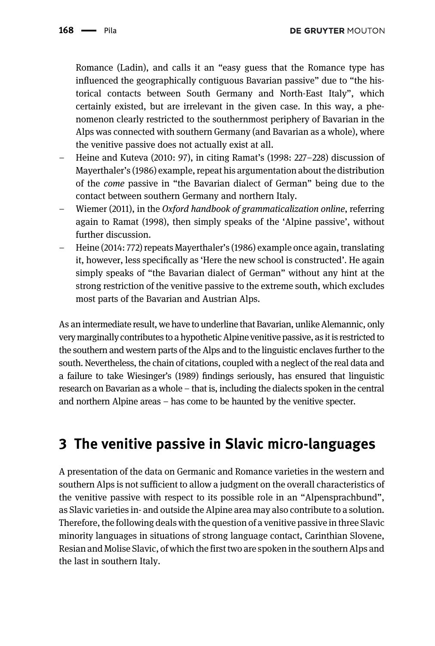Romance (Ladin), and calls it an "easy guess that the Romance type has influenced the geographically contiguous Bavarian passive" due to "the historical contacts between South Germany and North-East Italy", which certainly existed, but are irrelevant in the given case. In this way, a phenomenon clearly restricted to the southernmost periphery of Bavarian in the Alps was connected with southern Germany (and Bavarian as a whole), where the venitive passive does not actually exist at all.

- [Heine and Kuteva \(2010](#page-20-12): 97), in citing Ramat'[s \(1998:](#page-21-8) 227–228) discussion of [Mayerthaler](#page-21-7)'s (1986) example, repeat his argumentation about the distribution of the come passive in "the Bavarian dialect of German" being due to the contact between southern Germany and northern Italy.
- [Wiemer \(2011\)](#page-21-11), in the Oxford handbook of grammaticalization online, referring again to [Ramat \(1998\)](#page-21-8), then simply speaks of the 'Alpine passive', without further discussion.
- [Heine \(2014](#page-20-13): 772) repeats [Mayerthaler](#page-21-7)'s (1986) example once again, translating it, however, less specifically as 'Here the new school is constructed'. He again simply speaks of "the Bavarian dialect of German" without any hint at the strong restriction of the venitive passive to the extreme south, which excludes most parts of the Bavarian and Austrian Alps.

As an intermediate result, we have to underline that Bavarian, unlike Alemannic, only very marginally contributes to a hypothetic Alpine venitive passive, as it is restricted to the southern and western parts of the Alps and to the linguistic enclaves further to the south. Nevertheless, the chain of citations, coupled with a neglect of the real data and a failure to take [Wiesinger](#page-21-6)'s (1989) findings seriously, has ensured that linguistic research on Bavarian as a whole – that is, including the dialects spoken in the central and northern Alpine areas – has come to be haunted by the venitive specter.

## 3 The venitive passive in Slavic micro-languages

A presentation of the data on Germanic and Romance varieties in the western and southern Alps is not sufficient to allow a judgment on the overall characteristics of the venitive passive with respect to its possible role in an "Alpensprachbund", as Slavic varieties in- and outside the Alpine area may also contribute to a solution. Therefore, the following deals with the question of a venitive passive in three Slavic minority languages in situations of strong language contact, Carinthian Slovene, Resian and Molise Slavic, of which the first two are spoken in the southern Alps and the last in southern Italy.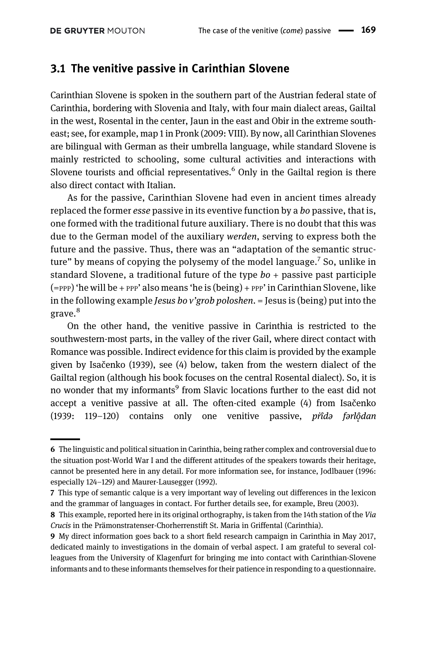#### 3.1 The venitive passive in Carinthian Slovene

Carinthian Slovene is spoken in the southern part of the Austrian federal state of Carinthia, bordering with Slovenia and Italy, with four main dialect areas, Gailtal in the west, Rosental in the center, Jaun in the east and Obir in the extreme southeast; see, for example, map 1 in [Pronk \(2009:](#page-21-12) VIII). By now, all Carinthian Slovenes are bilingual with German as their umbrella language, while standard Slovene is mainly restricted to schooling, some cultural activities and interactions with Slovene tourists and official representatives.<sup>6</sup> Only in the Gailtal region is there also direct contact with Italian.

As for the passive, Carinthian Slovene had even in ancient times already replaced the former *esse* passive in its eventive function by a *bo* passive, that is, one formed with the traditional future auxiliary. There is no doubt that this was due to the German model of the auxiliary werden, serving to express both the future and the passive. Thus, there was an "adaptation of the semantic structure" by means of copying the polysemy of the model language.<sup>7</sup> So, unlike in standard Slovene, a traditional future of the type  $bo +$  passive past participle  $(=$ PPP) 'he will be + PPP' also means 'he is  $(being)$  + PPP' in Carinthian Slovene, like in the following example *Jesus bo v'grob poloshen*. = Jesus is (being) put into the grave.<sup>8</sup>

On the other hand, the venitive passive in Carinthia is restricted to the southwestern-most parts, in the valley of the river Gail, where direct contact with Romance was possible. Indirect evidence for this claim is provided by the example given by Isač[enko \(1939\),](#page-20-14) see (4) below, taken from the western dialect of the Gailtal region (although his book focuses on the central Rosental dialect). So, it is no wonder that my informants<sup>9</sup> from Slavic locations further to the east did not accept a venitive passive at all. The often-cited example (4) from Isač[enko](#page-20-14) [\(1939](#page-20-14): 119-120) contains only one venitive passive, prîda farlộdan

<sup>6</sup> The linguistic and political situation in Carinthia, being rather complex and controversial due to the situation post-World War I and the different attitudes of the speakers towards their heritage, cannot be presented here in any detail. For more information see, for instance, [Jodlbauer \(1996](#page-20-15): especially 124–129) and [Maurer-Lausegger \(1992\)](#page-20-16).

<sup>7</sup> This type of semantic calque is a very important way of leveling out differences in the lexicon and the grammar of languages in contact. For further details see, for example, [Breu \(2003\)](#page-19-2).

<sup>8</sup> This example, reported here in its original orthography, is taken from the 14th station of the Via Crucis in the Prämonstratenser-Chorherrenstift St. Maria in Griffental (Carinthia).

<sup>9</sup> My direct information goes back to a short field research campaign in Carinthia in May 2017, dedicated mainly to investigations in the domain of verbal aspect. I am grateful to several colleagues from the University of Klagenfurt for bringing me into contact with Carinthian-Slovene informants and to these informants themselves for their patience in responding to a questionnaire.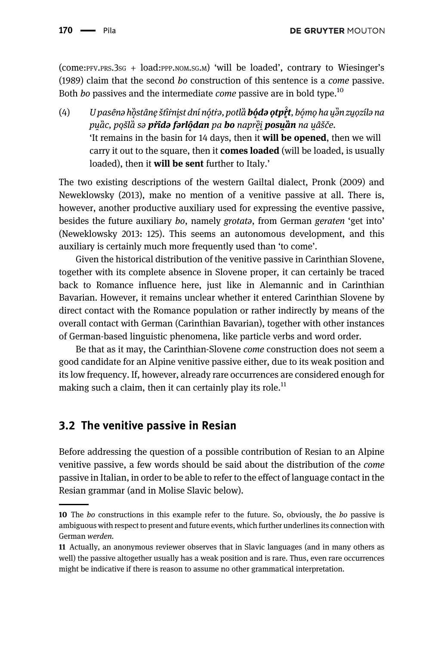(come:PFV.PRS.3SG + load:PPP.NOM.SG.M) 'will be loaded', contrary to [Wiesinger](#page-21-6)'s [\(1989\)](#page-21-6) claim that the second bo construction of this sentence is a come passive. Both *bo* passives and the intermediate *come* passive are in bold type.<sup>10</sup>

(4) U pasênə hồstânę štîrnist dní nótrə, potlà **bódə otpřt**, bómo ha uền zuozilə na ̑ pu̯ầc, po̯šlầ sə **pr̂îdə fərlộdan** pa **bo** naprɐ̀i̯ **posu̯ần** na u̯âšče. 'It remains in the basin for 14 days, then it will be opened, then we will carry it out to the square, then it **comes loaded** (will be loaded, is usually loaded), then it **will be sent** further to Italy.'

The two existing descriptions of the western Gailtal dialect, [Pronk \(2009\)](#page-21-12) and [Neweklowsky \(2013\),](#page-21-13) make no mention of a venitive passive at all. There is, however, another productive auxiliary used for expressing the eventive passive, besides the future auxiliary bo, namely grotata, from German geraten 'get into' ([Neweklowsky 2013:](#page-21-13) 125). This seems an autonomous development, and this auxiliary is certainly much more frequently used than 'to come'.

Given the historical distribution of the venitive passive in Carinthian Slovene, together with its complete absence in Slovene proper, it can certainly be traced back to Romance influence here, just like in Alemannic and in Carinthian Bavarian. However, it remains unclear whether it entered Carinthian Slovene by direct contact with the Romance population or rather indirectly by means of the overall contact with German (Carinthian Bavarian), together with other instances of German-based linguistic phenomena, like particle verbs and word order.

Be that as it may, the Carinthian-Slovene come construction does not seem a good candidate for an Alpine venitive passive either, due to its weak position and its low frequency. If, however, already rare occurrences are considered enough for making such a claim, then it can certainly play its role.<sup>11</sup>

### 3.2 The venitive passive in Resian

Before addressing the question of a possible contribution of Resian to an Alpine venitive passive, a few words should be said about the distribution of the come passive in Italian, in order to be able to refer to the effect of language contact in the Resian grammar (and in Molise Slavic below).

<sup>10</sup> The bo constructions in this example refer to the future. So, obviously, the bo passive is ambiguous with respect to present and future events, which further underlines its connection with German werden.

<sup>11</sup> Actually, an anonymous reviewer observes that in Slavic languages (and in many others as well) the passive altogether usually has a weak position and is rare. Thus, even rare occurrences might be indicative if there is reason to assume no other grammatical interpretation.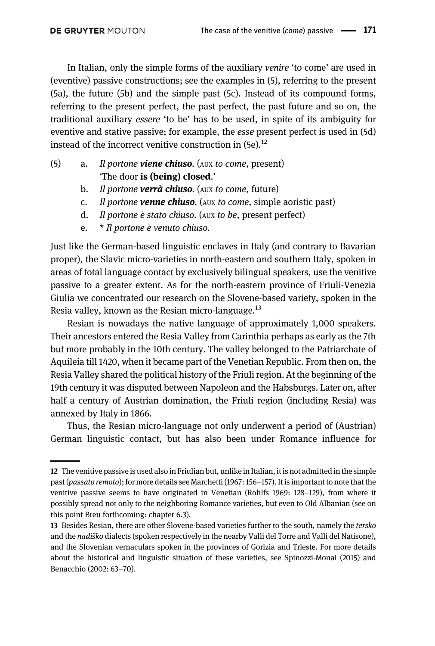In Italian, only the simple forms of the auxiliary venire 'to come' are used in (eventive) passive constructions; see the examples in (5), referring to the present (5a), the future (5b) and the simple past (5c). Instead of its compound forms, referring to the present perfect, the past perfect, the past future and so on, the traditional auxiliary essere 'to be' has to be used, in spite of its ambiguity for eventive and stative passive; for example, the esse present perfect is used in (5d) instead of the incorrect venitive construction in  $(5e)^{12}$ 

- (5) a. Il portone viene chiuso. (AUX to come, present) 'The door is (being) closed.'
	- b. Il portone verrà chiuso. (AUX to come, future)
	- c. Il portone venne chiuso. (AUX to come, simple aoristic past)
	- d. Il portone è stato chiuso. (AUX to be, present perfect)
	- e.  $\star$  Il portone è venuto chiuso.

Just like the German-based linguistic enclaves in Italy (and contrary to Bavarian proper), the Slavic micro-varieties in north-eastern and southern Italy, spoken in areas of total language contact by exclusively bilingual speakers, use the venitive passive to a greater extent. As for the north-eastern province of Friuli-Venezia Giulia we concentrated our research on the Slovene-based variety, spoken in the Resia valley, known as the Resian micro-language. $^{13}$ 

Resian is nowadays the native language of approximately 1,000 speakers. Their ancestors entered the Resia Valley from Carinthia perhaps as early as the 7th but more probably in the 10th century. The valley belonged to the Patriarchate of Aquileia till 1420, when it became part of the Venetian Republic. From then on, the Resia Valley shared the political history of the Friuli region. At the beginning of the 19th century it was disputed between Napoleon and the Habsburgs. Later on, after half a century of Austrian domination, the Friuli region (including Resia) was annexed by Italy in 1866.

Thus, the Resian micro-language not only underwent a period of (Austrian) German linguistic contact, but has also been under Romance influence for

<sup>12</sup> The venitive passive is used also in Friulian but, unlike in Italian, it is not admitted in the simple past (passato remoto); for more details see [Marchetti \(1967](#page-20-17): 156–157). It is important to note that the venitive passive seems to have originated in Venetian ([Rohlfs 1969:](#page-21-2) 128–129), from where it possibly spread not only to the neighboring Romance varieties, but even to Old Albanian (see on this point [Breu forthcoming:](#page-20-18) chapter 6.3).

<sup>13</sup> Besides Resian, there are other Slovene-based varieties further to the south, namely the tersko and the nadiško dialects (spoken respectively in the nearby Valli del Torre and Valli del Natisone), and the Slovenian vernaculars spoken in the provinces of Gorizia and Trieste. For more details about the historical and linguistic situation of these varieties, see [Spinozzi-Monai \(2015\)](#page-21-14) and [Benacchio \(2002](#page-19-3): 63–70).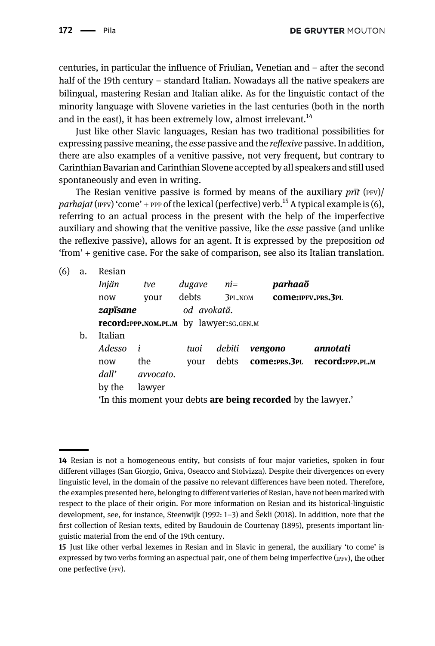centuries, in particular the influence of Friulian, Venetian and – after the second half of the 19th century – standard Italian. Nowadays all the native speakers are bilingual, mastering Resian and Italian alike. As for the linguistic contact of the minority language with Slovene varieties in the last centuries (both in the north and in the east), it has been extremely low, almost irrelevant.<sup>14</sup>

Just like other Slavic languages, Resian has two traditional possibilities for expressing passive meaning, the *esse* passive and the *reflexive* passive. In addition, there are also examples of a venitive passive, not very frequent, but contrary to Carinthian Bavarian and Carinthian Slovene accepted by all speakers and still used spontaneously and even in writing.

The Resian venitive passive is formed by means of the auxiliary  $\frac{p}{r}$  (PFV)/ parhajat (IPFV) 'come' + PPP of the lexical (perfective) verb.<sup>15</sup> A typical example is (6), referring to an actual process in the present with the help of the imperfective auxiliary and showing that the venitive passive, like the esse passive (and unlike the reflexive passive), allows for an agent. It is expressed by the preposition od 'from' + genitive case. For the sake of comparison, see also its Italian translation.

(6) a. Resian

| u. | ,,,,,,,,,,                                                           |                                               |             |          |                            |                    |  |  |  |
|----|----------------------------------------------------------------------|-----------------------------------------------|-------------|----------|----------------------------|--------------------|--|--|--|
|    | Injän                                                                | tve                                           | dugave      | ni=      | parhaaö                    |                    |  |  |  |
|    | now                                                                  | vour                                          | debts       | 3PL, NOM |                            | COME: IPFV.PRS.3PL |  |  |  |
|    | zapïsane                                                             |                                               | od avokatä. |          |                            |                    |  |  |  |
|    |                                                                      | <b>record:PPP.NOM.PL.M</b> by lawyer:SG.GEN.M |             |          |                            |                    |  |  |  |
| b. | Italian                                                              |                                               |             |          |                            |                    |  |  |  |
|    | Adesso                                                               | $\mathbf{i}$                                  | tuoi        | debiti   | vengono                    | annotati           |  |  |  |
|    | now                                                                  | the                                           | vour        |          | debts <b>come:</b> PRS.3PL | record:ppp.pl.m    |  |  |  |
|    | dall'                                                                | avvocato.                                     |             |          |                            |                    |  |  |  |
|    | by the                                                               | lawyer                                        |             |          |                            |                    |  |  |  |
|    | 'In this moment your debts <b>are being recorded</b> by the lawyer.' |                                               |             |          |                            |                    |  |  |  |
|    |                                                                      |                                               |             |          |                            |                    |  |  |  |

<sup>14</sup> Resian is not a homogeneous entity, but consists of four major varieties, spoken in four different villages (San Giorgio, Gniva, Oseacco and Stolvizza). Despite their divergences on every linguistic level, in the domain of the passive no relevant differences have been noted. Therefore, the examples presented here, belonging to different varieties of Resian, have not been marked with respect to the place of their origin. For more information on Resian and its historical-linguistic development, see, for instance, [Steenwijk \(1992:](#page-21-15) 1–3) and Š[ekli \(2018\).](#page-21-16) In addition, note that the first collection of Resian texts, edited by [Baudouin de Courtenay \(1895\),](#page-19-4) presents important linguistic material from the end of the 19th century.

<sup>15</sup> Just like other verbal lexemes in Resian and in Slavic in general, the auxiliary 'to come' is expressed by two verbs forming an aspectual pair, one of them being imperfective (IPFV), the other one perfective (PFV).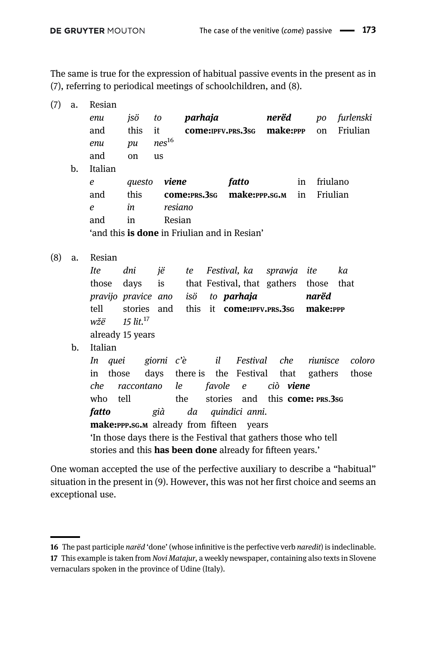The same is true for the expression of habitual passive events in the present as in (7), referring to periodical meetings of schoolchildren, and (8).

| (7) | a.  | Resian                                              |            |            |         |          |                                                                  |                  |    |          |           |
|-----|-----|-----------------------------------------------------|------------|------------|---------|----------|------------------------------------------------------------------|------------------|----|----------|-----------|
|     |     | enu                                                 | jsö        | to         | parhaja |          |                                                                  | nerëd            |    | po       | furlenski |
|     |     | and                                                 | this       | it         |         |          | <b>come:</b> IPFV.PRS.3sG                                        | make:PPP         |    | on       | Friulian  |
|     |     | enu                                                 | pu         | $nes^{16}$ |         |          |                                                                  |                  |    |          |           |
|     |     | and                                                 | on         | us         |         |          |                                                                  |                  |    |          |           |
|     | $b$ | Italian                                             |            |            |         |          |                                                                  |                  |    |          |           |
|     |     | e                                                   | questo     | viene      |         |          | fatto                                                            |                  | in | friulano |           |
|     |     | and                                                 | this       |            |         |          | come: PRS.3sG make: PPP.SG.M                                     |                  | in | Friulian |           |
|     |     | $\epsilon$                                          | in         | resiano    |         |          |                                                                  |                  |    |          |           |
|     |     | and                                                 | in         | Resian     |         |          |                                                                  |                  |    |          |           |
|     |     | 'and this <b>is done</b> in Friulian and in Resian' |            |            |         |          |                                                                  |                  |    |          |           |
| (8) | a.  | Resian                                              |            |            |         |          |                                                                  |                  |    |          |           |
|     |     | <b>Ite</b>                                          | dni        | jë         | te      |          | Festival, ka                                                     | sprawja ite      |    |          | ka        |
|     |     | those                                               | days       | is         |         |          | that Festival, that gathers                                      |                  |    | those    | that      |
|     |     | pravijo pravice ano                                 |            |            | isö     |          | to <b>parhaja</b>                                                |                  |    | narëd    |           |
|     |     | tell                                                | stories    | and        |         |          | this it <b>come:</b> IPFV.PRS.3sG                                |                  |    | make:PPP |           |
|     |     | $w\check{z}\ddot{e}$ 15 lit. <sup>17</sup>          |            |            |         |          |                                                                  |                  |    |          |           |
|     |     | already 15 years                                    |            |            |         |          |                                                                  |                  |    |          |           |
|     | b.  | Italian                                             |            |            |         |          |                                                                  |                  |    |          |           |
|     |     | In quei                                             |            | giorni c'è |         |          | il Festival che                                                  |                  |    | riunisce | coloro    |
|     |     | those<br>in                                         |            | days       |         |          | there is the Festival                                            | that             |    | gathers  | those     |
|     |     | che                                                 | raccontano | le         |         | favole e |                                                                  | ciò <b>viene</b> |    |          |           |
|     |     | who                                                 | tell       |            | the     |          | stories and this <b>come</b> : PRS.3sG                           |                  |    |          |           |
|     |     | fatto                                               |            | già        | da      |          | quindici anni.                                                   |                  |    |          |           |
|     |     | make: PPP.SG.M already from fifteen years           |            |            |         |          |                                                                  |                  |    |          |           |
|     |     |                                                     |            |            |         |          | 'In those days there is the Festival that gathers those who tell |                  |    |          |           |
|     |     |                                                     |            |            |         |          | stories and this has been done already for fifteen years.'       |                  |    |          |           |
|     |     |                                                     |            |            |         |          |                                                                  |                  |    |          |           |

One woman accepted the use of the perfective auxiliary to describe a "habitual" situation in the present in (9). However, this was not her first choice and seems an exceptional use.

<sup>16</sup> The past participle narëd 'done' (whose infinitive is the perfective verb naredit) is indeclinable. 17 This example is taken from Novi Matajur, a weekly newspaper, containing also texts in Slovene vernaculars spoken in the province of Udine (Italy).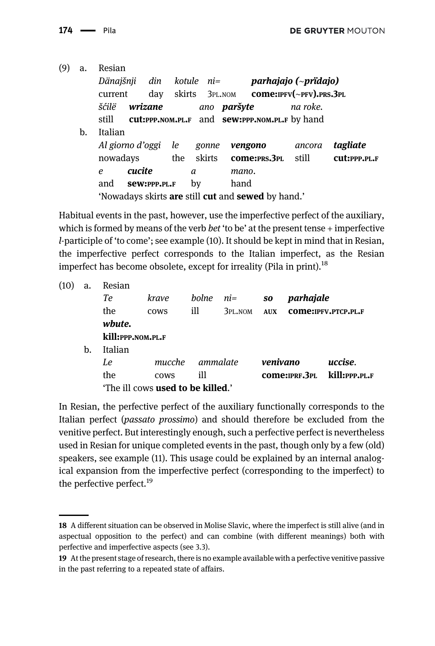| (9) | a. | Resian                                                                  |                     |     |            |    |        |                    |                                                             |                      |              |
|-----|----|-------------------------------------------------------------------------|---------------------|-----|------------|----|--------|--------------------|-------------------------------------------------------------|----------------------|--------------|
|     |    | Dänajšnji                                                               |                     | din | kotule ni= |    |        |                    |                                                             | parhajajo (~pridajo) |              |
|     |    | current                                                                 |                     | day |            |    |        |                    | skirts $3PL NOM$ <b>come:</b> $IPFV(-PFV)$ , $PRS$ , $3PL$  |                      |              |
|     |    | šćilë                                                                   | wrizane             |     |            |    |        | ano <b>paršyte</b> |                                                             | na roke.             |              |
|     |    | still                                                                   |                     |     |            |    |        |                    | <b>cut:PPP.NOM.PL.F</b> and <b>sew:PPP.NOM.PL.F</b> by hand |                      |              |
|     | b. | Italian                                                                 |                     |     |            |    |        |                    |                                                             |                      |              |
|     |    |                                                                         | Al giorno d'oggi le |     |            |    | gonne  |                    | vengono                                                     | ancora               | tagliate     |
|     |    |                                                                         | nowadays            |     | the        |    | skirts |                    | <b>come:PRS.3PL</b>                                         | still                | CUL:PPP.PL.F |
|     |    | e                                                                       | cucite              |     |            | a  |        | mano.              |                                                             |                      |              |
|     |    | and                                                                     | Sew:PPP.PL.F        |     |            | bv |        | hand               |                                                             |                      |              |
|     |    | 'Nowadays skirts <b>are</b> still <b>cut</b> and <b>sewed</b> by hand.' |                     |     |            |    |        |                    |                                                             |                      |              |

Habitual events in the past, however, use the imperfective perfect of the auxiliary, which is formed by means of the verb bet 'to be' at the present tense  $+$  imperfective l-participle of 'to come'; see example (10). It should be kept in mind that in Resian, the imperfective perfect corresponds to the Italian imperfect, as the Resian imperfect has become obsolete, except for irreality ([Pila in print\)](#page-21-17).<sup>18</sup>

| (10) | a. | Resian                                   |             |          |         |            |                 |                      |  |
|------|----|------------------------------------------|-------------|----------|---------|------------|-----------------|----------------------|--|
|      |    | Te                                       | krave       | bolne    | ni=     | SO         | parhajale       |                      |  |
|      |    | the                                      | <b>COWS</b> | ill      | 3PL.NOM | <b>AUX</b> |                 | COME: IPFV.PTCP.PL.F |  |
|      |    | wbute.                                   |             |          |         |            |                 |                      |  |
|      |    | kill:ppp.nom.pl.f                        |             |          |         |            |                 |                      |  |
|      | b. | Italian                                  |             |          |         |            |                 |                      |  |
|      |    | Le                                       | mucche      | ammalate |         | venivano   |                 | uccise.              |  |
|      |    | the                                      | <b>COWS</b> | ill      |         |            | COME: IPRF. 3PL | kill:ppp.pl.f        |  |
|      |    | 'The ill cows <b>used to be killed.'</b> |             |          |         |            |                 |                      |  |

In Resian, the perfective perfect of the auxiliary functionally corresponds to the Italian perfect (passato prossimo) and should therefore be excluded from the venitive perfect. But interestingly enough, such a perfective perfect is nevertheless used in Resian for unique completed events in the past, though only by a few (old) speakers, see example (11). This usage could be explained by an internal analogical expansion from the imperfective perfect (corresponding to the imperfect) to the perfective perfect.<sup>19</sup>

<sup>18</sup> A different situation can be observed in Molise Slavic, where the imperfect is still alive (and in aspectual opposition to the perfect) and can combine (with different meanings) both with perfective and imperfective aspects (see 3.3).

<sup>19</sup> At the present stage of research, there is no example available with a perfective venitive passive in the past referring to a repeated state of affairs.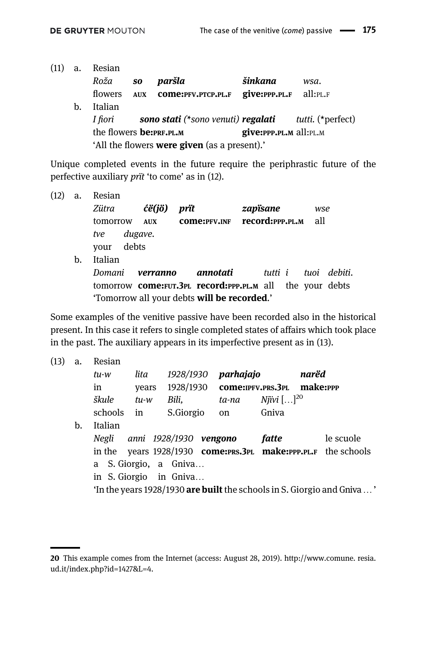| (11) | a. | Resian                          |            |                                                     |                                                                                                  |                          |
|------|----|---------------------------------|------------|-----------------------------------------------------|--------------------------------------------------------------------------------------------------|--------------------------|
|      |    | Roža                            | SO         | paršla                                              | šinkana                                                                                          | wsa.                     |
|      |    | flowers                         | <b>AUX</b> | COME:PFV.PTCP.PL.F                                  | $\boldsymbol{\mathrm{give:}}$ $\boldsymbol{\mathrm{PP}}$ .PL.F all: $\boldsymbol{\mathrm{PL.F}}$ |                          |
|      | b. | Italian                         |            |                                                     |                                                                                                  |                          |
|      |    | I fiori                         |            | sono stati (*sono venuti) regalati                  |                                                                                                  | <i>tutti.</i> (*perfect) |
|      |    | the flowers <b>be:</b> PRF.PL.M |            |                                                     | give: PPP.PL.M all: PL.M                                                                         |                          |
|      |    |                                 |            | 'All the flowers <b>were given</b> (as a present).' |                                                                                                  |                          |

Unique completed events in the future require the periphrastic future of the perfective auxiliary prït 'to come' as in (12).

(12) a. Resian Zütra **ćë(jö) prït zapïsane** wse tomorrow AUX come:PFV.INF record:PPP.PL.M all tve dugave. your debts b. Italian Domani verranno annotati tutti i tuoi debiti. tomorrow come:FUT.3PL record:PPP.PL.M all the your debts 'Tomorrow all your debts will be recorded.'

Some examples of the venitive passive have been recorded also in the historical present. In this case it refers to single completed states of affairs which took place in the past. The auxiliary appears in its imperfective present as in (13).

(13) a. Resian tu-w lita 1928/1930 parhajajo narëd in years 1928/1930 come:IPFV.PRS.3PL make:PPP škule tu-w Bili, ta-na Njivi $[\ldots]^{20}$ schools in S.Giorgio on Gniva b. Italian Negli anni 1928/1930 **vengono fatte** le scuole in the years 1928/1930 come:PRS.3PL make:PPP.PL.F the schools a S. Giorgio, a Gniva… in S. Giorgio in Gniva… 'In the years 1928/1930 are built the schools in S. Giorgio and Gniva…'

<sup>20</sup> This example comes from the Internet (access: August 28, 2019). [http://www.comune.](http://www.comune) resia. ud.it/index.php?id=1427&L=4.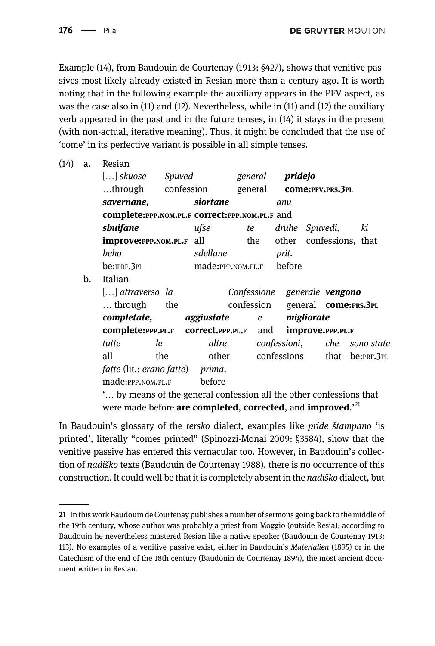Example (14), from Baudouin de Courtenay (1913: §427), shows that venitive passives most likely already existed in Resian more than a century ago. It is worth noting that in the following example the auxiliary appears in the PFV aspect, as was the case also in (11) and (12). Nevertheless, while in (11) and (12) the auxiliary verb appeared in the past and in the future tenses, in (14) it stays in the present (with non-actual, iterative meaning). Thus, it might be concluded that the use of 'come' in its perfective variant is possible in all simple tenses.

| (14) | a.                                                                  | Resian                                           |     |                          |  |           |                              |            |                  |                                 |
|------|---------------------------------------------------------------------|--------------------------------------------------|-----|--------------------------|--|-----------|------------------------------|------------|------------------|---------------------------------|
|      |                                                                     | [] skuose Spuved                                 |     |                          |  |           | general <b>pridejo</b>       |            |                  |                                 |
|      |                                                                     | through confession                               |     |                          |  | general   |                              |            | COME:PFV.PRS.3PL |                                 |
|      |                                                                     | savernane,                                       |     | siortane                 |  |           | anu                          |            |                  |                                 |
|      |                                                                     | complete: PPP.NOM.PL.F correct: PPP.NOM.PL.F and |     |                          |  |           |                              |            |                  |                                 |
|      |                                                                     | sbuifane                                         |     | ufse                     |  | <i>te</i> | druhe Spuvedi,               |            |                  | ki                              |
|      |                                                                     | <b>improve:PPP.NOM.PL.F</b> all                  |     |                          |  | the       |                              |            |                  | other confessions, that         |
|      |                                                                     | beho                                             |     | sdellane                 |  |           | prit.                        |            |                  |                                 |
|      |                                                                     | be:IPRF.3PL                                      |     | made:PPP.NOM.PL.F before |  |           |                              |            |                  |                                 |
|      | b.                                                                  | Italian                                          |     |                          |  |           |                              |            |                  |                                 |
|      |                                                                     | [] attraverso la                                 |     |                          |  |           | Confessione generale vengono |            |                  |                                 |
|      |                                                                     | $\ldots$ through the                             |     |                          |  |           |                              |            |                  | confession general come:PRS.3PL |
|      |                                                                     | <b>completate, aggiustate</b> e                  |     |                          |  |           |                              | migliorate |                  |                                 |
|      |                                                                     | <b>complete:PPP.PL.F correct.PPP.PL.F</b> and    |     |                          |  |           |                              |            | improve.PPP.PL.F |                                 |
|      |                                                                     | tutte                                            | le  | altre                    |  |           |                              |            |                  | confessioni, che sono state     |
|      |                                                                     | all                                              | the |                          |  |           | other confessions            |            |                  | that be:PRF.3PL                 |
|      |                                                                     | fatte (lit.: erano fatte) prima.                 |     |                          |  |           |                              |            |                  |                                 |
|      |                                                                     | made: PPP.NOM.PL.F                               |     | before                   |  |           |                              |            |                  |                                 |
|      | " by means of the general confession all the other confessions that |                                                  |     |                          |  |           |                              |            |                  |                                 |

were made before are completed, corrected, and improved.'<sup>21</sup>

In Baudouin's glossary of the tersko dialect, examples like pride štampano 'is printed', literally "comes printed" [\(Spinozzi-Monai 2009:](#page-21-18) §3584), show that the venitive passive has entered this vernacular too. However, in Baudouin's collection of nadiško texts [\(Baudouin de Courtenay 1988](#page-19-5)), there is no occurrence of this construction. It could well be that it is completely absent in the nadiško dialect, but

<sup>21</sup> In this work Baudouin de Courtenay publishes a number of sermons going back to the middle of the 19th century, whose author was probably a priest from Moggio (outside Resia); according to Baudouin he nevertheless mastered Resian like a native speaker [\(Baudouin de Courtenay 1913:](#page-19-6) 113). No examples of a venitive passive exist, either in Baudouin's Materialien (1895) or in the Catechism of the end of the 18th century [\(Baudouin de Courtenay 1894](#page-19-7)), the most ancient document written in Resian.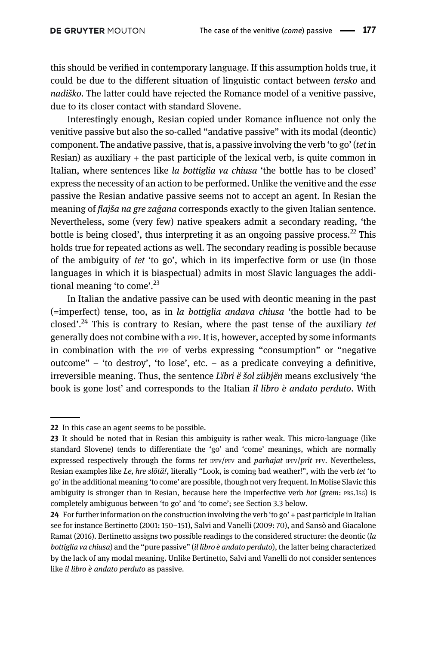this should be verified in contemporary language. If this assumption holds true, it could be due to the different situation of linguistic contact between tersko and nadiško. The latter could have rejected the Romance model of a venitive passive, due to its closer contact with standard Slovene.

Interestingly enough, Resian copied under Romance influence not only the venitive passive but also the so-called "andative passive" with its modal (deontic) component. The andative passive, that is, a passive involving the verb 'to go' (tet in Resian) as auxiliary  $+$  the past participle of the lexical verb, is quite common in Italian, where sentences like la bottiglia va chiusa 'the bottle has to be closed' express the necessity of an action to be performed. Unlike the venitive and the esse passive the Resian andative passive seems not to accept an agent. In Resian the meaning of *flajša na gre zaģana* corresponds exactly to the given Italian sentence. Nevertheless, some (very few) native speakers admit a secondary reading, 'the bottle is being closed', thus interpreting it as an ongoing passive process.<sup>22</sup> This holds true for repeated actions as well. The secondary reading is possible because of the ambiguity of tet 'to go', which in its imperfective form or use (in those languages in which it is biaspectual) admits in most Slavic languages the additional meaning 'to come'.<sup>23</sup>

In Italian the andative passive can be used with deontic meaning in the past (=imperfect) tense, too, as in la bottiglia andava chiusa 'the bottle had to be closed'.<sup>24</sup> This is contrary to Resian, where the past tense of the auxiliary tet generally does not combine with a PPP. It is, however, accepted by some informants in combination with the PPP of verbs expressing "consumption" or "negative outcome" – 'to destroy', 'to lose', etc. – as a predicate conveying a definitive, irreversible meaning. Thus, the sentence Lïbri ë šol zübjën means exclusively 'the book is gone lost' and corresponds to the Italian *il libro*  $\dot{e}$  *andato perduto*. With

<sup>22</sup> In this case an agent seems to be possible.

<sup>23</sup> It should be noted that in Resian this ambiguity is rather weak. This micro-language (like standard Slovene) tends to differentiate the 'go' and 'come' meanings, which are normally expressed respectively through the forms tet  $IPFV/PFV$  and *parhajat*  $IPFV/PTt$  *PFV.* Nevertheless, Resian examples like Le, hre slötä!, literally "Look, is coming bad weather!", with the verb tet 'to go' in the additional meaning 'to come' are possible, though not very frequent. In Molise Slavic this ambiguity is stronger than in Resian, because here the imperfective verb hot (grem: PRS.1sG) is completely ambiguous between 'to go' and 'to come'; see Section 3.3 below.

<sup>24</sup> For further information on the construction involving the verb 'to go' + past participle in Italian see for instance [Bertinetto \(2001](#page-19-8): 150–151), [Salvi and Vanelli \(2009](#page-21-3): 70), and [Sansò and Giacalone](#page-21-19) [Ramat \(2016\)](#page-21-19). Bertinetto assigns two possible readings to the considered structure: the deontic (la bottiglia va chiusa) and the "pure passive" (il libro è andato perduto), the latter being characterized by the lack of any modal meaning. Unlike Bertinetto, Salvi and Vanelli do not consider sentences like il libro è andato perduto as passive.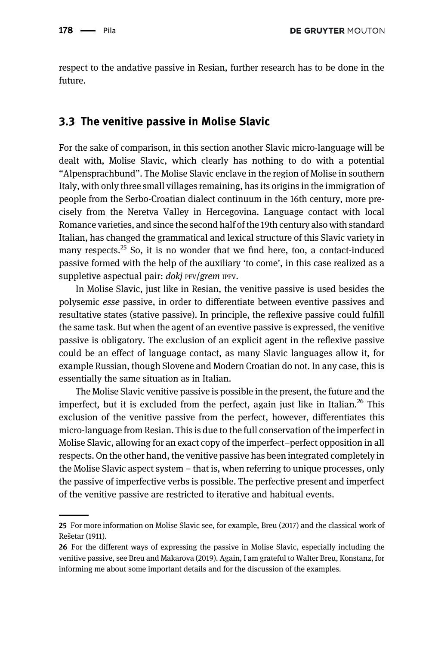respect to the andative passive in Resian, further research has to be done in the future.

#### 3.3 The venitive passive in Molise Slavic

For the sake of comparison, in this section another Slavic micro-language will be dealt with, Molise Slavic, which clearly has nothing to do with a potential "Alpensprachbund". The Molise Slavic enclave in the region of Molise in southern Italy, with only three small villages remaining, has its origins in the immigration of people from the Serbo-Croatian dialect continuum in the 16th century, more precisely from the Neretva Valley in Hercegovina. Language contact with local Romance varieties, and since the second half of the 19th century also with standard Italian, has changed the grammatical and lexical structure of this Slavic variety in many respects.<sup>25</sup> So, it is no wonder that we find here, too, a contact-induced passive formed with the help of the auxiliary 'to come', in this case realized as a suppletive aspectual pair: doki PFV/grem IPFV.

In Molise Slavic, just like in Resian, the venitive passive is used besides the polysemic esse passive, in order to differentiate between eventive passives and resultative states (stative passive). In principle, the reflexive passive could fulfill the same task. But when the agent of an eventive passive is expressed, the venitive passive is obligatory. The exclusion of an explicit agent in the reflexive passive could be an effect of language contact, as many Slavic languages allow it, for example Russian, though Slovene and Modern Croatian do not. In any case, this is essentially the same situation as in Italian.

The Molise Slavic venitive passive is possible in the present, the future and the imperfect, but it is excluded from the perfect, again just like in Italian.<sup>26</sup> This exclusion of the venitive passive from the perfect, however, differentiates this micro-language from Resian. This is due to the full conservation of the imperfect in Molise Slavic, allowing for an exact copy of the imperfect–perfect opposition in all respects. On the other hand, the venitive passive has been integrated completely in the Molise Slavic aspect system – that is, when referring to unique processes, only the passive of imperfective verbs is possible. The perfective present and imperfect of the venitive passive are restricted to iterative and habitual events.

<sup>25</sup> For more information on Molise Slavic see, for example, [Breu \(2017\)](#page-20-19) and the classical work of Reš[etar \(1911\).](#page-21-20)

<sup>26</sup> For the different ways of expressing the passive in Molise Slavic, especially including the venitive passive, see [Breu and Makarova \(2019\)](#page-20-1). Again, I am grateful to Walter Breu, Konstanz, for informing me about some important details and for the discussion of the examples.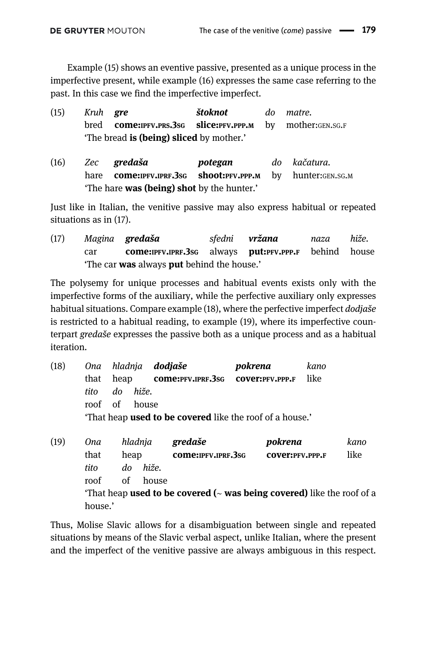Example (15) shows an eventive passive, presented as a unique process in the imperfective present, while example (16) expresses the same case referring to the past. In this case we find the imperfective imperfect.

| (15) | Kruh <b>gre</b> |                                                                           | štoknot | do matre. |
|------|-----------------|---------------------------------------------------------------------------|---------|-----------|
|      |                 | bred <b>come:</b> IPFV.PRS.3sG <b>slice:</b> PFV.PPP.M by mother:GEN.SG.F |         |           |
|      |                 | The bread <b>is (being) sliced</b> by mother.'                            |         |           |

(16) Zec gredaša **potegan** do kačatura. hare come:IPFV.IPRF.3sG shoot:PFV.PPP.M by hunter:GEN.SG.M 'The hare was (being) shot by the hunter.'

Just like in Italian, the venitive passive may also express habitual or repeated situations as in (17).

(17) Magina gredaša sfedni vržana naza hiže. car **come:IPFV.IPRF.3sG** always **put:PFV.PPP.F** behind house 'The car was always put behind the house.'

The polysemy for unique processes and habitual events exists only with the imperfective forms of the auxiliary, while the perfective auxiliary only expresses habitual situations. Compare example (18), where the perfective imperfect *dodiaše* is restricted to a habitual reading, to example (19), where its imperfective counterpart gredaše expresses the passive both as a unique process and as a habitual iteration.

- (18) Ona hladnja **dodjaše bokrena** kano that heap come:PFV.IPRF.3SG cover:PFV.PPP.F like tito do hiže. roof of house 'That heap used to be covered like the roof of a house.'
- (19) Ona hladnja gredaše **pokrena** kano that heap come:IPFV.IPRF.3SG cover:PFV.PPP.F like tito do hiže. roof of house 'That heap used to be covered ( $\sim$  was being covered) like the roof of a house.'

Thus, Molise Slavic allows for a disambiguation between single and repeated situations by means of the Slavic verbal aspect, unlike Italian, where the present and the imperfect of the venitive passive are always ambiguous in this respect.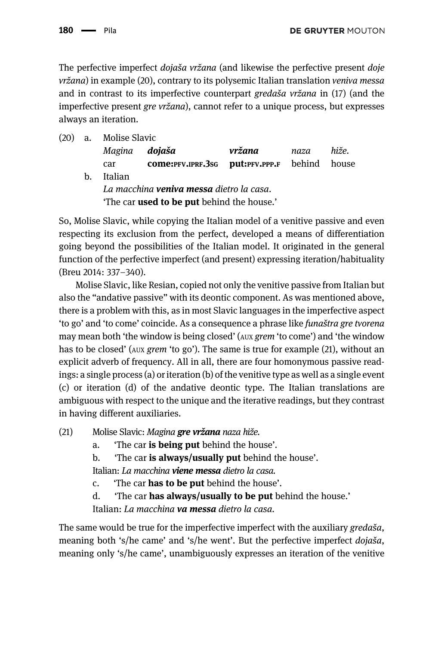The perfective imperfect *dojaša vržana* (and likewise the perfective present *doje* vržana) in example (20), contrary to its polysemic Italian translation veniva messa and in contrast to its imperfective counterpart gredaša vržana in (17) (and the imperfective present gre vržana), cannot refer to a unique process, but expresses always an iteration.

- (20) a. Molise Slavic
	- Magina dojaša vržana naza hiže. car come:PFV.IPRF.3SG put:PFV.PPP.F behind house b. Italian La macchina **veniva messa** dietro la casa. The car used to be put behind the house.'

So, Molise Slavic, while copying the Italian model of a venitive passive and even respecting its exclusion from the perfect, developed a means of differentiation going beyond the possibilities of the Italian model. It originated in the general function of the perfective imperfect (and present) expressing iteration/habituality ([Breu 2014:](#page-20-20) 337–340).

Molise Slavic, like Resian, copied not only the venitive passive from Italian but also the "andative passive" with its deontic component. As was mentioned above, there is a problem with this, as in most Slavic languages in the imperfective aspect 'to go' and 'to come' coincide. As a consequence a phrase like funaštra gre tvorena may mean both 'the window is being closed' (AUX grem 'to come') and 'the window has to be closed' (AUX *grem* 'to go'). The same is true for example (21), without an explicit adverb of frequency. All in all, there are four homonymous passive readings: a single process (a) or iteration (b) of the venitive type as well as a single event (c) or iteration (d) of the andative deontic type. The Italian translations are ambiguous with respect to the unique and the iterative readings, but they contrast in having different auxiliaries.

- (21) Molise Slavic: Magina **gre vržana** naza hiže.
	- a. The car is being put behind the house'.
	- b. The car is always/usually put behind the house'.

Italian: La macchina **viene messa** dietro la casa.

- c. 'The car has to be put behind the house'.
- d. The car **has always/usually to be put** behind the house.'

Italian: La macchina **va messa** dietro la casa.

The same would be true for the imperfective imperfect with the auxiliary gredaša, meaning both 's/he came' and 's/he went'. But the perfective imperfect dojaša, meaning only 's/he came', unambiguously expresses an iteration of the venitive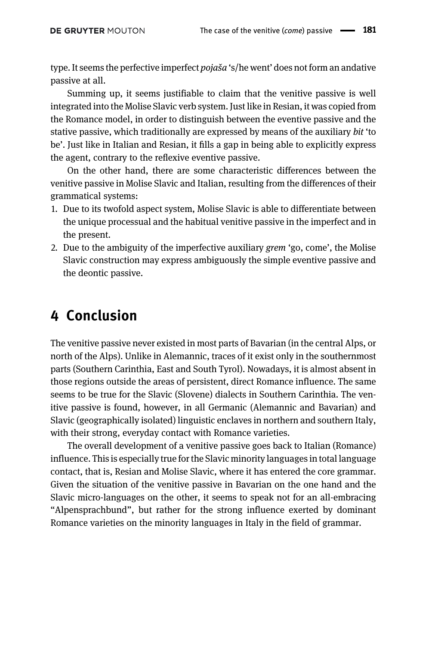type. It seems the perfective imperfect *pojaša* 's/he went' does not form an andative passive at all.

Summing up, it seems justifiable to claim that the venitive passive is well integrated into the Molise Slavic verb system. Just like in Resian, it was copied from the Romance model, in order to distinguish between the eventive passive and the stative passive, which traditionally are expressed by means of the auxiliary bit 'to be'. Just like in Italian and Resian, it fills a gap in being able to explicitly express the agent, contrary to the reflexive eventive passive.

On the other hand, there are some characteristic differences between the venitive passive in Molise Slavic and Italian, resulting from the differences of their grammatical systems:

- 1. Due to its twofold aspect system, Molise Slavic is able to differentiate between the unique processual and the habitual venitive passive in the imperfect and in the present.
- 2. Due to the ambiguity of the imperfective auxiliary grem 'go, come', the Molise Slavic construction may express ambiguously the simple eventive passive and the deontic passive.

### 4 Conclusion

The venitive passive never existed in most parts of Bavarian (in the central Alps, or north of the Alps). Unlike in Alemannic, traces of it exist only in the southernmost parts (Southern Carinthia, East and South Tyrol). Nowadays, it is almost absent in those regions outside the areas of persistent, direct Romance influence. The same seems to be true for the Slavic (Slovene) dialects in Southern Carinthia. The venitive passive is found, however, in all Germanic (Alemannic and Bavarian) and Slavic (geographically isolated) linguistic enclaves in northern and southern Italy, with their strong, everyday contact with Romance varieties.

The overall development of a venitive passive goes back to Italian (Romance) influence. This is especially true for the Slavic minority languages in total language contact, that is, Resian and Molise Slavic, where it has entered the core grammar. Given the situation of the venitive passive in Bavarian on the one hand and the Slavic micro-languages on the other, it seems to speak not for an all-embracing "Alpensprachbund", but rather for the strong influence exerted by dominant Romance varieties on the minority languages in Italy in the field of grammar.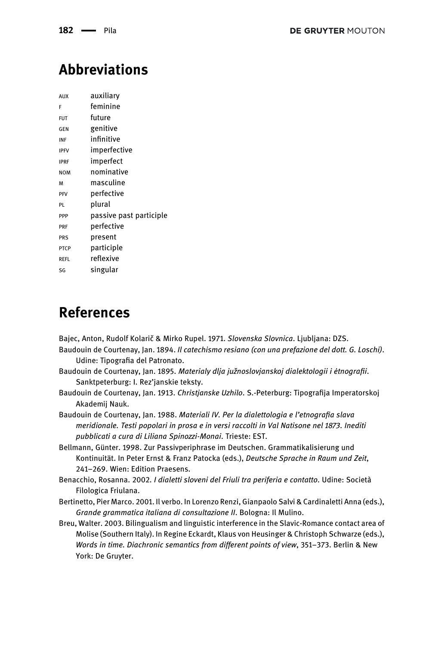## Abbreviations

| AUX         | auxiliarv               |
|-------------|-------------------------|
| F           | feminine                |
| <b>FUT</b>  | future                  |
| GEN         | genitive                |
| INF         | infinitive              |
| <b>IPFV</b> | imperfective            |
| <b>IPRF</b> | imperfect               |
| <b>NOM</b>  | nominative              |
| M           | masculine               |
| PFV         | perfective              |
| PL          | plural                  |
| PPP         | passive past participle |
| <b>PRF</b>  | perfective              |
| <b>PRS</b>  | present                 |
| <b>PTCP</b> | participle              |
| REFL        | reflexive               |
| SG          | singular                |

### References

<span id="page-19-7"></span><span id="page-19-0"></span>Bajec, Anton, Rudolf Kolarič & Mirko Rupel. 1971. Slovenska Slovnica. Ljubljana: DZS.

- <span id="page-19-4"></span>Baudouin de Courtenay, Jan. 1894. Il catechismo resiano (con una prefazione del dott. G. Loschi). Udine: Tipografia del Patronato.
- <span id="page-19-6"></span>Baudouin de Courtenay, Jan. 1895. Materialy dlja južnoslovjanskoj dialektologii i ėtnografii. Sanktpeterburg: I. Rez'janskie teksty.
- <span id="page-19-5"></span>Baudouin de Courtenay, Jan. 1913. Christjanske Uzhilo. S.-Peterburg: Tipografija Imperatorskoj Akademij Nauk.

Baudouin de Courtenay, Jan. 1988. Materiali IV. Per la dialettologia e l'etnografia slava meridionale. Testi popolari in prosa e in versi raccolti in Val Natisone nel 1873. Inediti pubblicati a cura di Liliana Spinozzi-Monai. Trieste: EST.

- <span id="page-19-1"></span>Bellmann, Günter. 1998. Zur Passivperiphrase im Deutschen. Grammatikalisierung und Kontinuität. In Peter Ernst & Franz Patocka (eds.), Deutsche Sprache in Raum und Zeit, 241–269. Wien: Edition Praesens.
- <span id="page-19-8"></span><span id="page-19-3"></span>Benacchio, Rosanna. 2002. I dialetti sloveni del Friuli tra periferia e contatto. Udine: Società Filologica Friulana.
- <span id="page-19-2"></span>Bertinetto, Pier Marco. 2001. Il verbo. In Lorenzo Renzi, Gianpaolo Salvi & Cardinaletti Anna (eds.), Grande grammatica italiana di consultazione II. Bologna: Il Mulino.

Breu, Walter. 2003. Bilingualism and linguistic interference in the Slavic-Romance contact area of Molise (Southern Italy). In Regine Eckardt, Klaus von Heusinger & Christoph Schwarze (eds.), Words in time. Diachronic semantics from different points of view, 351–373. Berlin & New York: De Gruyter.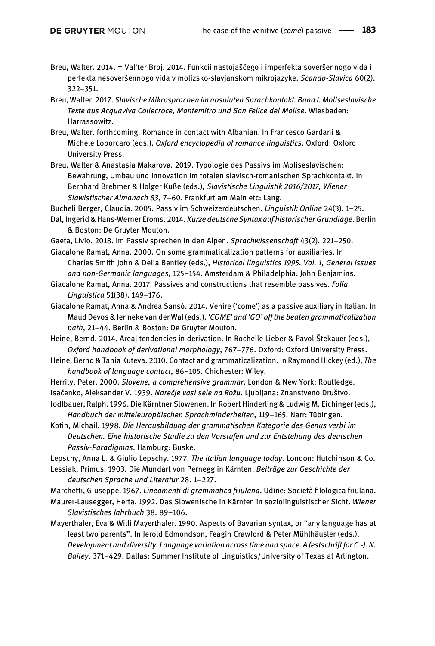- <span id="page-20-20"></span>Breu, Walter. 2014. = Val'ter Broj. 2014. Funkcii nastojaščego i imperfekta soveršennogo vida i perfekta nesoveršennogo vida v molizsko-slavjanskom mikrojazyke. Scando-Slavica 60(2). 322–351.
- <span id="page-20-19"></span>Breu, Walter. 2017. Slavische Mikrosprachen im absoluten Sprachkontakt. Band I. Moliseslavische Texte aus Acquaviva Collecroce, Montemitro und San Felice del Molise. Wiesbaden: Harrassowitz.
- <span id="page-20-18"></span>Breu, Walter. forthcoming. Romance in contact with Albanian. In Francesco Gardani & Michele Loporcaro (eds.), Oxford encyclopedia of romance linguistics. Oxford: Oxford University Press.
- <span id="page-20-1"></span>Breu, Walter & Anastasia Makarova. 2019. Typologie des Passivs im Moliseslavischen: Bewahrung, Umbau und Innovation im totalen slavisch-romanischen Sprachkontakt. In Bernhard Brehmer & Holger Kuße (eds.), Slavistische Linguistik 2016/2017, Wiener Slawistischer Almanach 83, 7–60. Frankfurt am Main etc: Lang.

<span id="page-20-8"></span>Bucheli Berger, Claudia. 2005. Passiv im Schweizerdeutschen. Linguistik Online 24(3). 1–25.

- <span id="page-20-10"></span>Dal, Ingerid & Hans-Werner Eroms. 2014. Kurze deutsche Syntax auf historischer Grundlage. Berlin & Boston: De Gruyter Mouton.
- <span id="page-20-7"></span>Gaeta, Livio. 2018. Im Passiv sprechen in den Alpen. Sprachwissenschaft 43(2). 221–250.
- <span id="page-20-2"></span>Giacalone Ramat, Anna. 2000. On some grammaticalization patterns for auxiliaries. In Charles Smith John & Delia Bentley (eds.), Historical linguistics 1995. Vol. 1, General issues and non-Germanic languages, 125–154. Amsterdam & Philadelphia: John Benjamins.
- <span id="page-20-3"></span>Giacalone Ramat, Anna. 2017. Passives and constructions that resemble passives. Folia Linguistica 51(38). 149–176.
- <span id="page-20-4"></span>Giacalone Ramat, Anna & Andrea Sansò. 2014. Venire ('come') as a passive auxiliary in Italian. In Maud Devos & Jenneke van der Wal (eds.), 'COME' and 'GO' off the beaten grammaticalization path, 21–44. Berlin & Boston: De Gruyter Mouton.

<span id="page-20-13"></span>Heine, Bernd. 2014. Areal tendencies in derivation. In Rochelle Lieber & Pavol Štekauer (eds.), Oxford handbook of derivational morphology, 767–776. Oxford: Oxford University Press.

- <span id="page-20-12"></span>Heine, Bernd & Tania Kuteva. 2010. Contact and grammaticalization. In Raymond Hickey (ed.), The handbook of language contact, 86–105. Chichester: Wiley.
- <span id="page-20-0"></span>Herrity, Peter. 2000. Slovene, a comprehensive grammar. London & New York: Routledge.
- <span id="page-20-14"></span>Isačenko, Aleksander V. 1939. Narečje vasi sele na Rožu. Ljubljana: Znanstveno Društvo.

<span id="page-20-15"></span>Jodlbauer, Ralph. 1996. Die Kärntner Slowenen. In Robert Hinderling & Ludwig M. Eichinger (eds.), Handbuch der mitteleuropäischen Sprachminderheiten, 119–165. Narr: Tübingen.

- <span id="page-20-11"></span>Kotin, Michail. 1998. Die Herausbildung der grammatischen Kategorie des Genus verbi im Deutschen. Eine historische Studie zu den Vorstufen und zur Entstehung des deutschen Passiv-Paradigmas. Hamburg: Buske.
- <span id="page-20-5"></span>Lepschy, Anna L. & Giulio Lepschy. 1977. The Italian language today. London: Hutchinson & Co.

<span id="page-20-6"></span>Lessiak, Primus. 1903. Die Mundart von Pernegg in Kärnten. Beiträge zur Geschichte der deutschen Sprache und Literatur 28. 1–227.

<span id="page-20-17"></span>Marchetti, Giuseppe. 1967. Lineamenti di grammatica friulana. Udine: Società filologica friulana.

<span id="page-20-16"></span>Maurer-Lausegger, Herta. 1992. Das Slowenische in Kärnten in soziolinguistischer Sicht. Wiener Slavistisches Jahrbuch 38. 89–106.

<span id="page-20-9"></span>Mayerthaler, Eva & Willi Mayerthaler. 1990. Aspects of Bavarian syntax, or "any language has at least two parents". In Jerold Edmondson, Feagin Crawford & Peter Mühlhäusler (eds.), Development and diversity. Language variation across time and space. A festschrift for C.-J. N. Bailey, 371–429. Dallas: Summer Institute of Linguistics/University of Texas at Arlington.